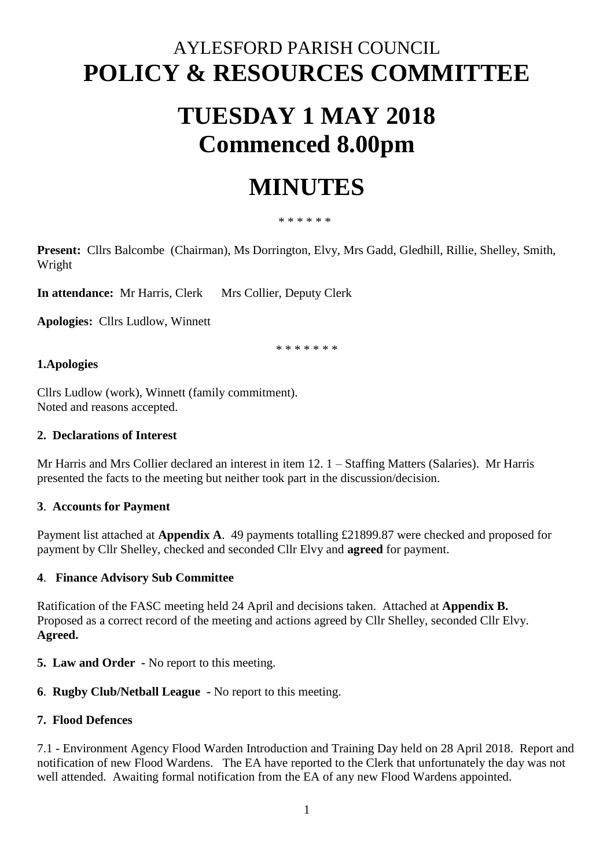# AYLESFORD PARISH COUNCIL **POLICY & RESOURCES COMMITTEE**

# **TUESDAY 1 MAY 2018 Commenced 8.00pm**

# **MINUTES**

#### \* \* \* \* \* \*

**Present:** Cllrs Balcombe (Chairman), Ms Dorrington, Elvy, Mrs Gadd, Gledhill, Rillie, Shelley, Smith, Wright

**In attendance:** Mr Harris, Clerk Mrs Collier, Deputy Clerk

**Apologies:** Cllrs Ludlow, Winnett

\* \* \* \* \* \* \*

#### **1.Apologies**

Cllrs Ludlow (work), Winnett (family commitment). Noted and reasons accepted.

#### **2. Declarations of Interest**

Mr Harris and Mrs Collier declared an interest in item 12. 1 – Staffing Matters (Salaries). Mr Harris presented the facts to the meeting but neither took part in the discussion/decision.

#### **3**. **Accounts for Payment**

Payment list attached at **Appendix A**. 49 payments totalling £21899.87 were checked and proposed for payment by Cllr Shelley, checked and seconded Cllr Elvy and **agreed** for payment.

### **4**. **Finance Advisory Sub Committee**

Ratification of the FASC meeting held 24 April and decisions taken. Attached at **Appendix B.**  Proposed as a correct record of the meeting and actions agreed by Cllr Shelley, seconded Cllr Elvy. **Agreed.** 

**5. Law and Order -** No report to this meeting.

### **6**. **Rugby Club/Netball League -** No report to this meeting.

### **7. Flood Defences**

7.1 - Environment Agency Flood Warden Introduction and Training Day held on 28 April 2018. Report and notification of new Flood Wardens. The EA have reported to the Clerk that unfortunately the day was not well attended. Awaiting formal notification from the EA of any new Flood Wardens appointed.